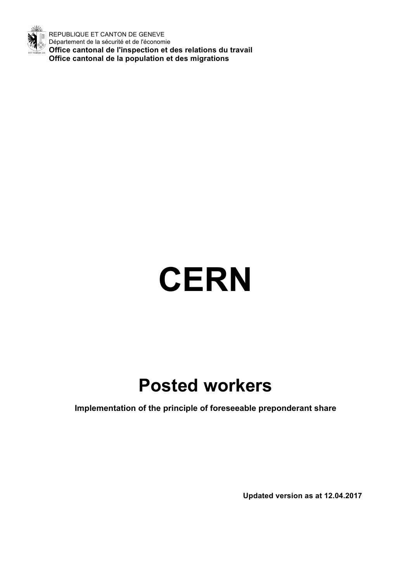

REPUBLIQUE ET CANTON DE GENEVE Département de la sécurité et de l'économie **Office cantonal de l'inspection et des relations du travail Office cantonal de la population et des migrations**

# **CERN**

# **Posted workers**

**Implementation of the principle of foreseeable preponderant share**

**Updated version as at 12.04.2017**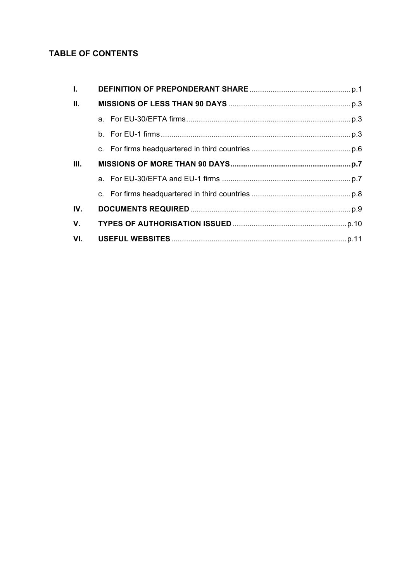# **TABLE OF CONTENTS**

| $\mathbf{L}$   |  |
|----------------|--|
| $\Pi$ .        |  |
|                |  |
|                |  |
|                |  |
| III.           |  |
|                |  |
|                |  |
| IV.            |  |
| $\mathbf{V}$ . |  |
| VI.            |  |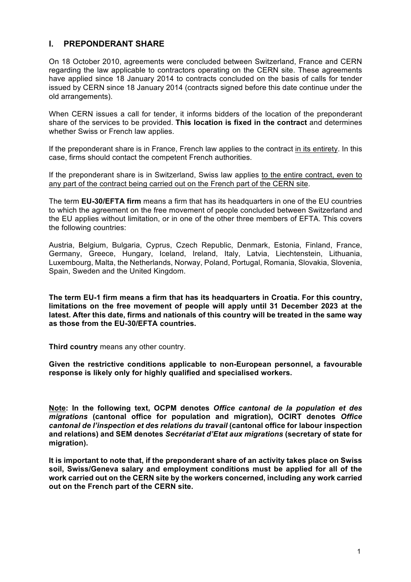# **I. PREPONDERANT SHARE**

On 18 October 2010, agreements were concluded between Switzerland, France and CERN regarding the law applicable to contractors operating on the CERN site. These agreements have applied since 18 January 2014 to contracts concluded on the basis of calls for tender issued by CERN since 18 January 2014 (contracts signed before this date continue under the old arrangements).

When CERN issues a call for tender, it informs bidders of the location of the preponderant share of the services to be provided. **This location is fixed in the contract** and determines whether Swiss or French law applies.

If the preponderant share is in France, French law applies to the contract in its entirety. In this case, firms should contact the competent French authorities.

If the preponderant share is in Switzerland, Swiss law applies to the entire contract, even to any part of the contract being carried out on the French part of the CERN site.

The term **EU-30/EFTA firm** means a firm that has its headquarters in one of the EU countries to which the agreement on the free movement of people concluded between Switzerland and the EU applies without limitation, or in one of the other three members of EFTA. This covers the following countries:

Austria, Belgium, Bulgaria, Cyprus, Czech Republic, Denmark, Estonia, Finland, France, Germany, Greece, Hungary, Iceland, Ireland, Italy, Latvia, Liechtenstein, Lithuania, Luxembourg, Malta, the Netherlands, Norway, Poland, Portugal, Romania, Slovakia, Slovenia, Spain, Sweden and the United Kingdom.

**The term EU-1 firm means a firm that has its headquarters in Croatia. For this country, limitations on the free movement of people will apply until 31 December 2023 at the latest. After this date, firms and nationals of this country will be treated in the same way as those from the EU-30/EFTA countries.** 

**Third country** means any other country.

**Given the restrictive conditions applicable to non-European personnel, a favourable response is likely only for highly qualified and specialised workers.**

**Note: In the following text, OCPM denotes** *Office cantonal de la population et des migrations* **(cantonal office for population and migration), OCIRT denotes** *Office cantonal de l'inspection et des relations du travail* **(cantonal office for labour inspection and relations) and SEM denotes** *Secrétariat d'Etat aux migrations* **(secretary of state for migration).** 

**It is important to note that, if the preponderant share of an activity takes place on Swiss soil, Swiss/Geneva salary and employment conditions must be applied for all of the work carried out on the CERN site by the workers concerned, including any work carried out on the French part of the CERN site.**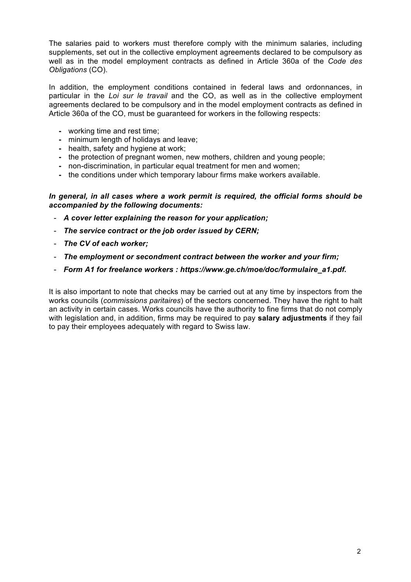The salaries paid to workers must therefore comply with the minimum salaries, including supplements, set out in the collective employment agreements declared to be compulsory as well as in the model employment contracts as defined in Article 360a of the *Code des Obligations* (CO).

In addition, the employment conditions contained in federal laws and ordonnances, in particular in the *Loi sur le travail* and the CO, as well as in the collective employment agreements declared to be compulsory and in the model employment contracts as defined in Article 360a of the CO, must be guaranteed for workers in the following respects:

- **-** working time and rest time;
- **-** minimum length of holidays and leave;
- **-** health, safety and hygiene at work;
- the protection of pregnant women, new mothers, children and voung people:
- **-** non-discrimination, in particular equal treatment for men and women;
- **-** the conditions under which temporary labour firms make workers available.

#### *In general, in all cases where a work permit is required, the official forms should be accompanied by the following documents:*

- *A cover letter explaining the reason for your application;*
- *The service contract or the job order issued by CERN;*
- *The CV of each worker;*
- *The employment or secondment contract between the worker and your firm;*
- *Form A1 for freelance workers : https://www.ge.ch/moe/doc/formulaire\_a1.pdf.*

It is also important to note that checks may be carried out at any time by inspectors from the works councils (*commissions paritaires*) of the sectors concerned. They have the right to halt an activity in certain cases. Works councils have the authority to fine firms that do not comply with legislation and, in addition, firms may be required to pay **salary adjustments** if they fail to pay their employees adequately with regard to Swiss law.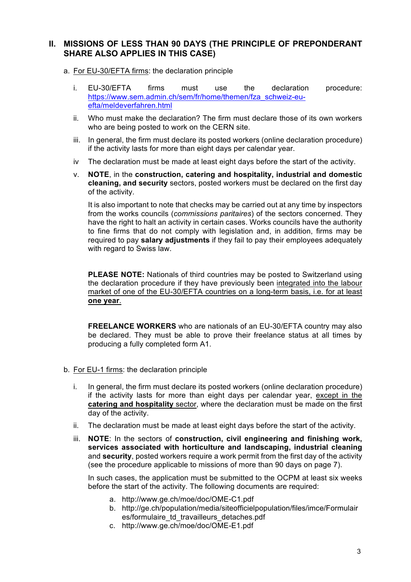# **II. MISSIONS OF LESS THAN 90 DAYS (THE PRINCIPLE OF PREPONDERANT SHARE ALSO APPLIES IN THIS CASE)**

- a. For EU-30/EFTA firms: the declaration principle
	- i. EU-30/EFTA firms must use the declaration procedure: https://www.sem.admin.ch/sem/fr/home/themen/fza\_schweiz-euefta/meldeverfahren.html
	- ii. Who must make the declaration? The firm must declare those of its own workers who are being posted to work on the CERN site.
	- iii. In general, the firm must declare its posted workers (online declaration procedure) if the activity lasts for more than eight days per calendar year.
	- iv The declaration must be made at least eight days before the start of the activity.
	- v. **NOTE**, in the **construction, catering and hospitality, industrial and domestic cleaning, and security** sectors, posted workers must be declared on the first day of the activity.

It is also important to note that checks may be carried out at any time by inspectors from the works councils (*commissions paritaires*) of the sectors concerned. They have the right to halt an activity in certain cases. Works councils have the authority to fine firms that do not comply with legislation and, in addition, firms may be required to pay **salary adjustments** if they fail to pay their employees adequately with regard to Swiss law.

**PLEASE NOTE:** Nationals of third countries may be posted to Switzerland using the declaration procedure if they have previously been integrated into the labour market of one of the EU-30/EFTA countries on a long-term basis, i.e. for at least **one year**.

**FREELANCE WORKERS** who are nationals of an EU-30/EFTA country may also be declared. They must be able to prove their freelance status at all times by producing a fully completed form A1.

- b. For EU-1 firms: the declaration principle
	- i. In general, the firm must declare its posted workers (online declaration procedure) if the activity lasts for more than eight days per calendar year, except in the **catering and hospitality** sector, where the declaration must be made on the first day of the activity.
	- ii. The declaration must be made at least eight days before the start of the activity.
	- iii. **NOTE**: In the sectors of **construction, civil engineering and finishing work, services associated with horticulture and landscaping, industrial cleaning**  and **security**, posted workers require a work permit from the first day of the activity (see the procedure applicable to missions of more than 90 days on page 7).

In such cases, the application must be submitted to the OCPM at least six weeks before the start of the activity. The following documents are required:

- a. http://www.ge.ch/moe/doc/OME-C1.pdf
- b. http://ge.ch/population/media/siteofficielpopulation/files/imce/Formulair es/formulaire\_td\_travailleurs\_detaches.pdf
- c. http://www.ge.ch/moe/doc/OME-E1.pdf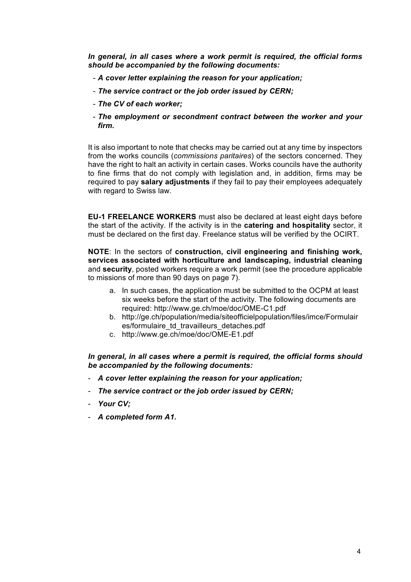*In general, in all cases where a work permit is required, the official forms should be accompanied by the following documents:*

- *A cover letter explaining the reason for your application;*
- *The service contract or the job order issued by CERN;*
- *The CV of each worker;*
- *The employment or secondment contract between the worker and your firm.*

It is also important to note that checks may be carried out at any time by inspectors from the works councils (*commissions paritaires*) of the sectors concerned. They have the right to halt an activity in certain cases. Works councils have the authority to fine firms that do not comply with legislation and, in addition, firms may be required to pay **salary adjustments** if they fail to pay their employees adequately with regard to Swiss law.

**EU-1 FREELANCE WORKERS** must also be declared at least eight days before the start of the activity. If the activity is in the **catering and hospitality** sector, it must be declared on the first day. Freelance status will be verified by the OCIRT.

**NOTE**: In the sectors of **construction, civil engineering and finishing work, services associated with horticulture and landscaping, industrial cleaning**  and **security**, posted workers require a work permit (see the procedure applicable to missions of more than 90 days on page 7).

- a. In such cases, the application must be submitted to the OCPM at least six weeks before the start of the activity. The following documents are required: http://www.ge.ch/moe/doc/OME-C1.pdf
- b. http://ge.ch/population/media/siteofficielpopulation/files/imce/Formulair es/formulaire\_td\_travailleurs\_detaches.pdf
- c. http://www.ge.ch/moe/doc/OME-E1.pdf

*In general, in all cases where a permit is required, the official forms should be accompanied by the following documents:*

- *A cover letter explaining the reason for your application;*
- *The service contract or the job order issued by CERN;*
- *Your CV;*
- *A completed form A1.*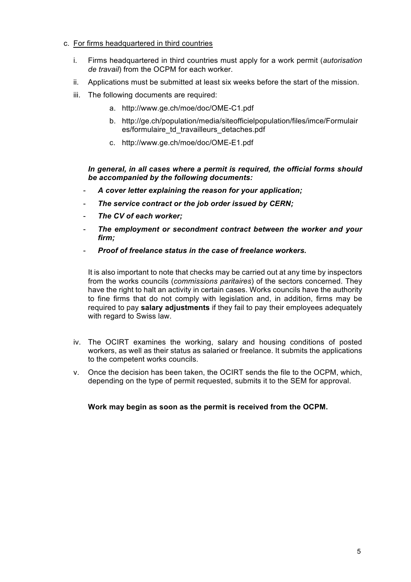#### c. For firms headquartered in third countries

- i. Firms headquartered in third countries must apply for a work permit (*autorisation de travail*) from the OCPM for each worker.
- ii. Applications must be submitted at least six weeks before the start of the mission.
- iii. The following documents are required:
	- a. http://www.ge.ch/moe/doc/OME-C1.pdf
	- b. http://ge.ch/population/media/siteofficielpopulation/files/imce/Formulair es/formulaire\_td\_travailleurs\_detaches.pdf
	- c. http://www.ge.ch/moe/doc/OME-E1.pdf

*In general, in all cases where a permit is required, the official forms should be accompanied by the following documents:*

- *A cover letter explaining the reason for your application;*
- *The service contract or the job order issued by CERN;*
- *The CV of each worker;*
- *The employment or secondment contract between the worker and your firm;*
- *Proof of freelance status in the case of freelance workers.*

It is also important to note that checks may be carried out at any time by inspectors from the works councils (*commissions paritaires*) of the sectors concerned. They have the right to halt an activity in certain cases. Works councils have the authority to fine firms that do not comply with legislation and, in addition, firms may be required to pay **salary adjustments** if they fail to pay their employees adequately with regard to Swiss law.

- iv. The OCIRT examines the working, salary and housing conditions of posted workers, as well as their status as salaried or freelance. It submits the applications to the competent works councils.
- v. Once the decision has been taken, the OCIRT sends the file to the OCPM, which, depending on the type of permit requested, submits it to the SEM for approval.

#### **Work may begin as soon as the permit is received from the OCPM.**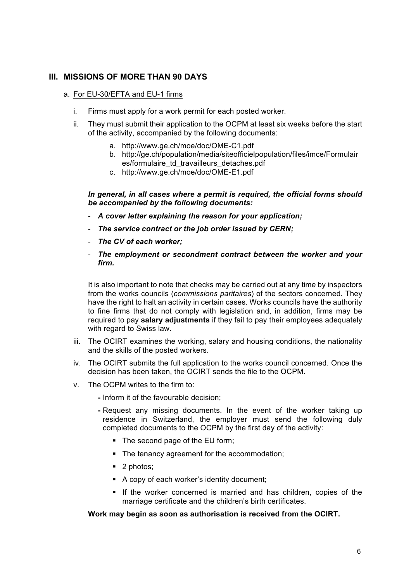## **III. MISSIONS OF MORE THAN 90 DAYS**

#### a. For EU-30/EFTA and EU-1 firms

- i. Firms must apply for a work permit for each posted worker.
- ii. They must submit their application to the OCPM at least six weeks before the start of the activity, accompanied by the following documents:
	- a. http://www.ge.ch/moe/doc/OME-C1.pdf
	- b. http://ge.ch/population/media/siteofficielpopulation/files/imce/Formulair es/formulaire\_td\_travailleurs\_detaches.pdf
	- c. http://www.ge.ch/moe/doc/OME-E1.pdf

*In general, in all cases where a permit is required, the official forms should be accompanied by the following documents:*

- *A cover letter explaining the reason for your application;*
- *The service contract or the job order issued by CERN;*
- *The CV of each worker;*
- *The employment or secondment contract between the worker and your firm.*

It is also important to note that checks may be carried out at any time by inspectors from the works councils (*commissions paritaires*) of the sectors concerned. They have the right to halt an activity in certain cases. Works councils have the authority to fine firms that do not comply with legislation and, in addition, firms may be required to pay **salary adjustments** if they fail to pay their employees adequately with regard to Swiss law.

- iii. The OCIRT examines the working, salary and housing conditions, the nationality and the skills of the posted workers.
- iv. The OCIRT submits the full application to the works council concerned. Once the decision has been taken, the OCIRT sends the file to the OCPM.
- v. The OCPM writes to the firm to:
	- **-** Inform it of the favourable decision;
	- **-** Request any missing documents. In the event of the worker taking up residence in Switzerland, the employer must send the following duly completed documents to the OCPM by the first day of the activity:
		- The second page of the EU form;
		- The tenancy agreement for the accommodation;
		- 2 photos;
		- A copy of each worker's identity document;
		- § If the worker concerned is married and has children, copies of the marriage certificate and the children's birth certificates.

#### **Work may begin as soon as authorisation is received from the OCIRT.**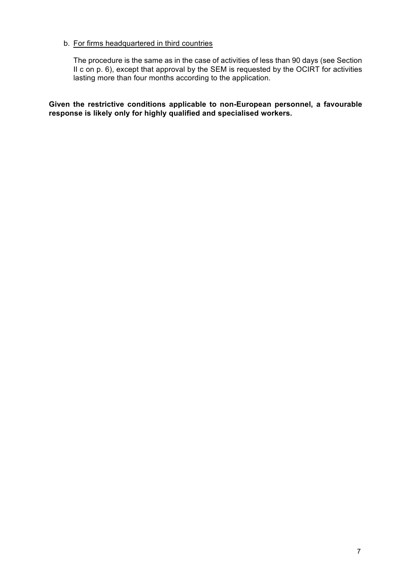#### b. For firms headquartered in third countries

The procedure is the same as in the case of activities of less than 90 days (see Section II c on p. 6), except that approval by the SEM is requested by the OCIRT for activities lasting more than four months according to the application.

**Given the restrictive conditions applicable to non-European personnel, a favourable response is likely only for highly qualified and specialised workers.**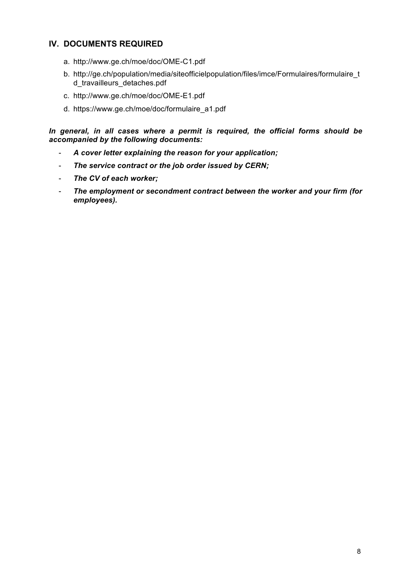# **IV. DOCUMENTS REQUIRED**

- a. http://www.ge.ch/moe/doc/OME-C1.pdf
- b. http://ge.ch/population/media/siteofficielpopulation/files/imce/Formulaires/formulaire\_t d\_travailleurs\_detaches.pdf
- c. http://www.ge.ch/moe/doc/OME-E1.pdf
- d. https://www.ge.ch/moe/doc/formulaire\_a1.pdf

*In general, in all cases where a permit is required, the official forms should be accompanied by the following documents:*

- *A cover letter explaining the reason for your application;*
- *The service contract or the job order issued by CERN;*
- *The CV of each worker;*
- *The employment or secondment contract between the worker and your firm (for employees).*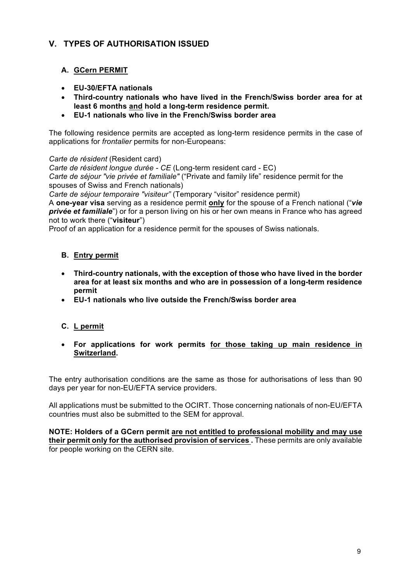# **V. TYPES OF AUTHORISATION ISSUED**

# **A. GCern PERMIT**

- **EU-30/EFTA nationals**
- **Third-country nationals who have lived in the French/Swiss border area for at least 6 months and hold a long-term residence permit.**
- **EU-1 nationals who live in the French/Swiss border area**

The following residence permits are accepted as long-term residence permits in the case of applications for *frontalier* permits for non-Europeans:

*Carte de résident* (Resident card)

*Carte de résident longue durée - CE* (Long-term resident card - EC)

*Carte de séjour "vie privée et familiale"* ("Private and family life" residence permit for the spouses of Swiss and French nationals)

*Carte de séjour temporaire "visiteur"* (Temporary "visitor" residence permit)

A **one-year visa** serving as a residence permit **only** for the spouse of a French national ("*vie privée et familiale*") or for a person living on his or her own means in France who has agreed not to work there ("**visiteur**")

Proof of an application for a residence permit for the spouses of Swiss nationals.

#### **B. Entry permit**

- **Third-country nationals, with the exception of those who have lived in the border area for at least six months and who are in possession of a long-term residence permit**
- **EU-1 nationals who live outside the French/Swiss border area**

# **C. L permit**

• **For applications for work permits for those taking up main residence in Switzerland.**

The entry authorisation conditions are the same as those for authorisations of less than 90 days per year for non-EU/EFTA service providers.

All applications must be submitted to the OCIRT. Those concerning nationals of non-EU/EFTA countries must also be submitted to the SEM for approval.

**NOTE: Holders of a GCern permit are not entitled to professional mobility and may use their permit only for the authorised provision of services .** These permits are only available for people working on the CERN site.